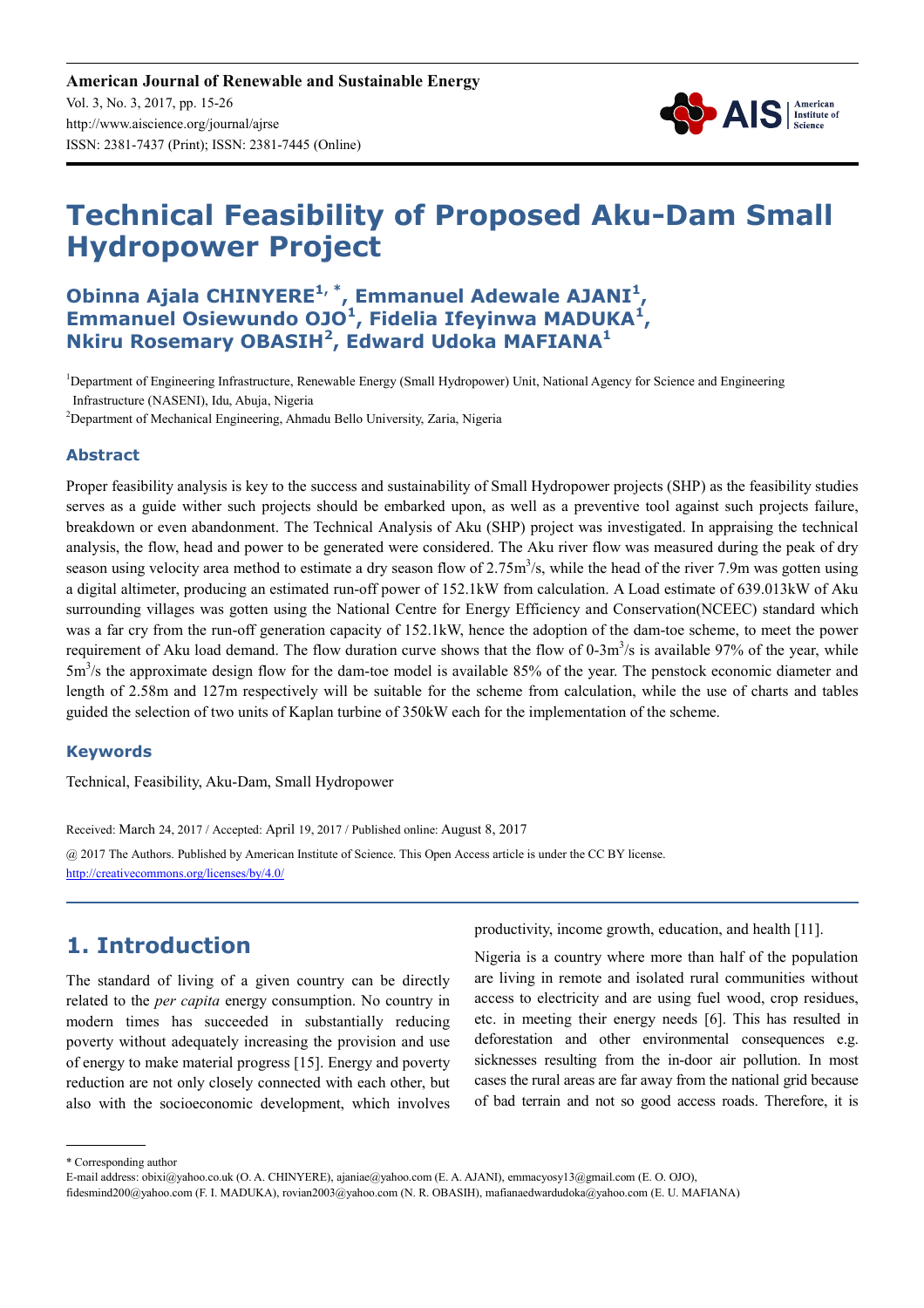**American Journal of Renewable and Sustainable Energy** Vol. 3, No. 3, 2017, pp. 15-26 http://www.aiscience.org/journal/ajrse ISSN: 2381-7437 (Print); ISSN: 2381-7445 (Online)



# **Technical Feasibility of Proposed Aku-Dam Small Hydropower Project**

### **Obinna Ajala CHINYERE1, \*, Emmanuel Adewale AJANI<sup>1</sup> , Emmanuel Osiewundo OJO<sup>1</sup> , Fidelia Ifeyinwa MADUKA<sup>1</sup> , Nkiru Rosemary OBASIH<sup>2</sup> , Edward Udoka MAFIANA<sup>1</sup>**

<sup>1</sup>Department of Engineering Infrastructure, Renewable Energy (Small Hydropower) Unit, National Agency for Science and Engineering Infrastructure (NASENI), Idu, Abuja, Nigeria

<sup>2</sup>Department of Mechanical Engineering, Ahmadu Bello University, Zaria, Nigeria

#### **Abstract**

Proper feasibility analysis is key to the success and sustainability of Small Hydropower projects (SHP) as the feasibility studies serves as a guide wither such projects should be embarked upon, as well as a preventive tool against such projects failure, breakdown or even abandonment. The Technical Analysis of Aku (SHP) project was investigated. In appraising the technical analysis, the flow, head and power to be generated were considered. The Aku river flow was measured during the peak of dry season using velocity area method to estimate a dry season flow of  $2.75 \text{m}^3/\text{s}$ , while the head of the river 7.9m was gotten using a digital altimeter, producing an estimated run-off power of 152.1kW from calculation. A Load estimate of 639.013kW of Aku surrounding villages was gotten using the National Centre for Energy Efficiency and Conservation(NCEEC) standard which was a far cry from the run-off generation capacity of 152.1kW, hence the adoption of the dam-toe scheme, to meet the power requirement of Aku load demand. The flow duration curve shows that the flow of  $0-3m^3/s$  is available 97% of the year, while 5m<sup>3</sup>/s the approximate design flow for the dam-toe model is available 85% of the year. The penstock economic diameter and length of 2.58m and 127m respectively will be suitable for the scheme from calculation, while the use of charts and tables guided the selection of two units of Kaplan turbine of 350kW each for the implementation of the scheme.

#### **Keywords**

Technical, Feasibility, Aku-Dam, Small Hydropower

Received: March 24, 2017 / Accepted: April 19, 2017 / Published online: August 8, 2017

@ 2017 The Authors. Published by American Institute of Science. This Open Access article is under the CC BY license. http://creativecommons.org/licenses/by/4.0/

# **1. Introduction**

The standard of living of a given country can be directly related to the *per capita* energy consumption. No country in modern times has succeeded in substantially reducing poverty without adequately increasing the provision and use of energy to make material progress [15]. Energy and poverty reduction are not only closely connected with each other, but also with the socioeconomic development, which involves

productivity, income growth, education, and health [11].

Nigeria is a country where more than half of the population are living in remote and isolated rural communities without access to electricity and are using fuel wood, crop residues, etc. in meeting their energy needs [6]. This has resulted in deforestation and other environmental consequences e.g. sicknesses resulting from the in-door air pollution. In most cases the rural areas are far away from the national grid because of bad terrain and not so good access roads. Therefore, it is

\* Corresponding author

E-mail address: obixi@yahoo.co.uk (O. A. CHINYERE), ajaniae@yahoo.com (E. A. AJANI), emmacyosy13@gmail.com (E. O. OJO),

fidesmind200@yahoo.com (F. I. MADUKA), rovian2003@yahoo.com (N. R. OBASIH), mafianaedwardudoka@yahoo.com (E. U. MAFIANA)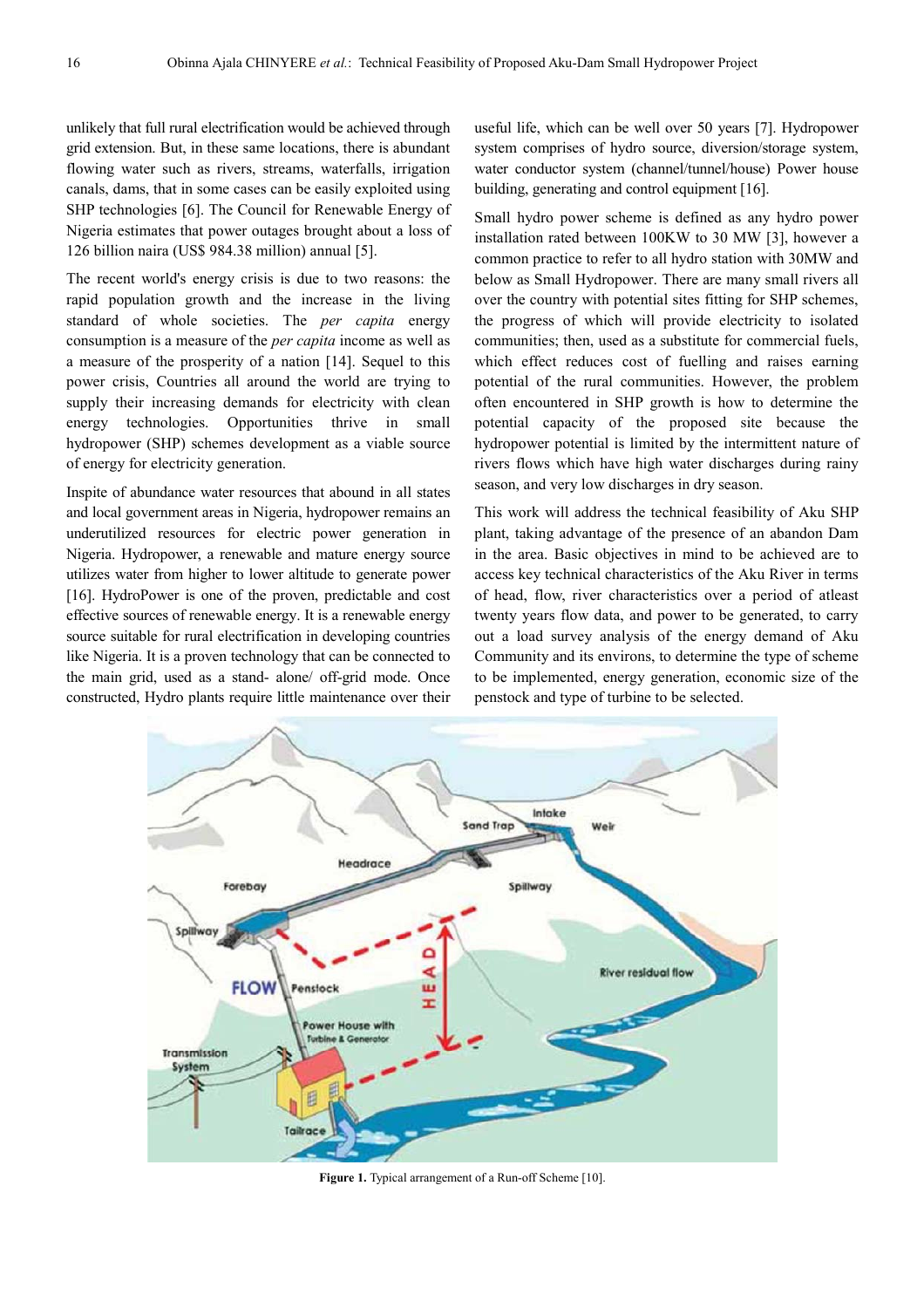unlikely that full rural electrification would be achieved through grid extension. But, in these same locations, there is abundant flowing water such as rivers, streams, waterfalls, irrigation canals, dams, that in some cases can be easily exploited using SHP technologies [6]. The Council for Renewable Energy of Nigeria estimates that power outages brought about a loss of 126 billion naira (US\$ 984.38 million) annual [5].

The recent world's energy crisis is due to two reasons: the rapid population growth and the increase in the living standard of whole societies. The *per capita* energy consumption is a measure of the *per capita* income as well as a measure of the prosperity of a nation [14]. Sequel to this power crisis, Countries all around the world are trying to supply their increasing demands for electricity with clean energy technologies. Opportunities thrive in small hydropower (SHP) schemes development as a viable source of energy for electricity generation.

Inspite of abundance water resources that abound in all states and local government areas in Nigeria, hydropower remains an underutilized resources for electric power generation in Nigeria. Hydropower, a renewable and mature energy source utilizes water from higher to lower altitude to generate power [16]. HydroPower is one of the proven, predictable and cost effective sources of renewable energy. It is a renewable energy source suitable for rural electrification in developing countries like Nigeria. It is a proven technology that can be connected to the main grid, used as a stand- alone/ off-grid mode. Once constructed, Hydro plants require little maintenance over their useful life, which can be well over 50 years [7]. Hydropower system comprises of hydro source, diversion/storage system, water conductor system (channel/tunnel/house) Power house building, generating and control equipment [16].

Small hydro power scheme is defined as any hydro power installation rated between 100KW to 30 MW [3], however a common practice to refer to all hydro station with 30MW and below as Small Hydropower. There are many small rivers all over the country with potential sites fitting for SHP schemes, the progress of which will provide electricity to isolated communities; then, used as a substitute for commercial fuels, which effect reduces cost of fuelling and raises earning potential of the rural communities. However, the problem often encountered in SHP growth is how to determine the potential capacity of the proposed site because the hydropower potential is limited by the intermittent nature of rivers flows which have high water discharges during rainy season, and very low discharges in dry season.

This work will address the technical feasibility of Aku SHP plant, taking advantage of the presence of an abandon Dam in the area. Basic objectives in mind to be achieved are to access key technical characteristics of the Aku River in terms of head, flow, river characteristics over a period of atleast twenty years flow data, and power to be generated, to carry out a load survey analysis of the energy demand of Aku Community and its environs, to determine the type of scheme to be implemented, energy generation, economic size of the penstock and type of turbine to be selected.



**Figure 1.** Typical arrangement of a Run-off Scheme [10].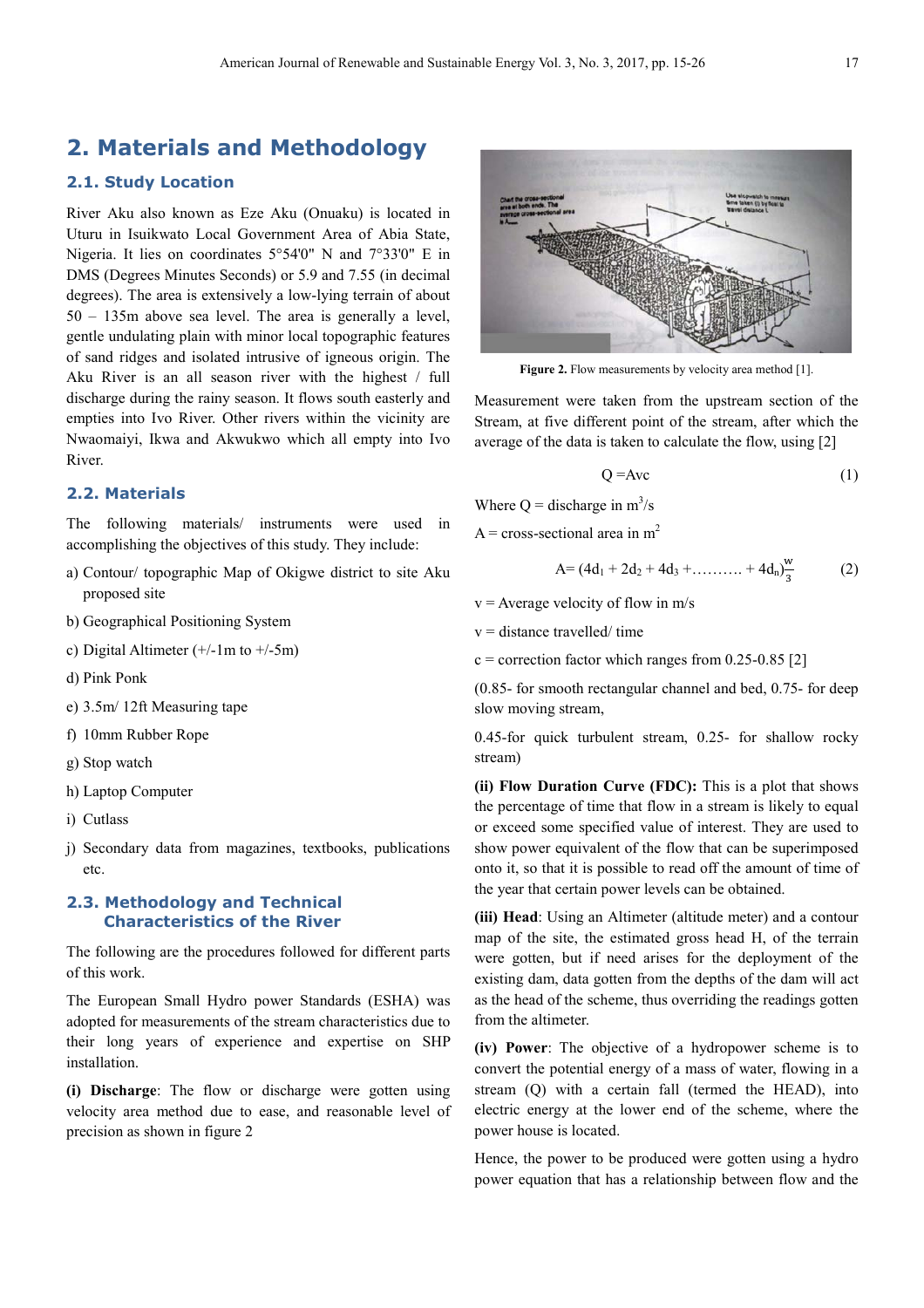## **2. Materials and Methodology**

#### **2.1. Study Location**

River Aku also known as Eze Aku (Onuaku) is located in Uturu in Isuikwato Local Government Area of Abia State, Nigeria. It lies on coordinates 5°54'0" N and 7°33'0" E in DMS (Degrees Minutes Seconds) or 5.9 and 7.55 (in decimal degrees). The area is extensively a low-lying terrain of about 50 – 135m above sea level. The area is generally a level, gentle undulating plain with minor local topographic features of sand ridges and isolated intrusive of igneous origin. The Aku River is an all season river with the highest / full discharge during the rainy season. It flows south easterly and empties into Ivo River. Other rivers within the vicinity are Nwaomaiyi, Ikwa and Akwukwo which all empty into Ivo River.

#### **2.2. Materials**

The following materials/ instruments were used in accomplishing the objectives of this study. They include:

- a) Contour/ topographic Map of Okigwe district to site Aku proposed site
- b) Geographical Positioning System
- c) Digital Altimeter  $(+/-1m$  to  $+/-5m$ )
- d) Pink Ponk
- e) 3.5m/ 12ft Measuring tape
- f) 10mm Rubber Rope
- g) Stop watch
- h) Laptop Computer
- i) Cutlass
- j) Secondary data from magazines, textbooks, publications etc.

#### **2.3. Methodology and Technical Characteristics of the River**

The following are the procedures followed for different parts of this work.

The European Small Hydro power Standards (ESHA) was adopted for measurements of the stream characteristics due to their long years of experience and expertise on SHP installation.

**(i) Discharge**: The flow or discharge were gotten using velocity area method due to ease, and reasonable level of precision as shown in figure 2



Figure 2. Flow measurements by velocity area method [1].

Measurement were taken from the upstream section of the Stream, at five different point of the stream, after which the average of the data is taken to calculate the flow, using [2]

$$
Q = Ave
$$
 (1)

Where  $Q =$  discharge in  $m^3/s$ 

 $A = cross-sectional area in m<sup>2</sup>$ 

$$
A = (4d_1 + 2d_2 + 4d_3 + \dots + 4d_n)\frac{w}{3}
$$
 (2)

 $v =$  Average velocity of flow in m/s

 $v =$  distance travelled/ time

 $c =$  correction factor which ranges from 0.25-0.85 [2]

(0.85- for smooth rectangular channel and bed, 0.75- for deep slow moving stream,

0.45-for quick turbulent stream, 0.25- for shallow rocky stream)

**(ii) Flow Duration Curve (FDC):** This is a plot that shows the percentage of time that flow in a stream is likely to equal or exceed some specified value of interest. They are used to show power equivalent of the flow that can be superimposed onto it, so that it is possible to read off the amount of time of the year that certain power levels can be obtained.

**(iii) Head**: Using an Altimeter (altitude meter) and a contour map of the site, the estimated gross head H, of the terrain were gotten, but if need arises for the deployment of the existing dam, data gotten from the depths of the dam will act as the head of the scheme, thus overriding the readings gotten from the altimeter.

**(iv) Power**: The objective of a hydropower scheme is to convert the potential energy of a mass of water, flowing in a stream (Q) with a certain fall (termed the HEAD), into electric energy at the lower end of the scheme, where the power house is located.

Hence, the power to be produced were gotten using a hydro power equation that has a relationship between flow and the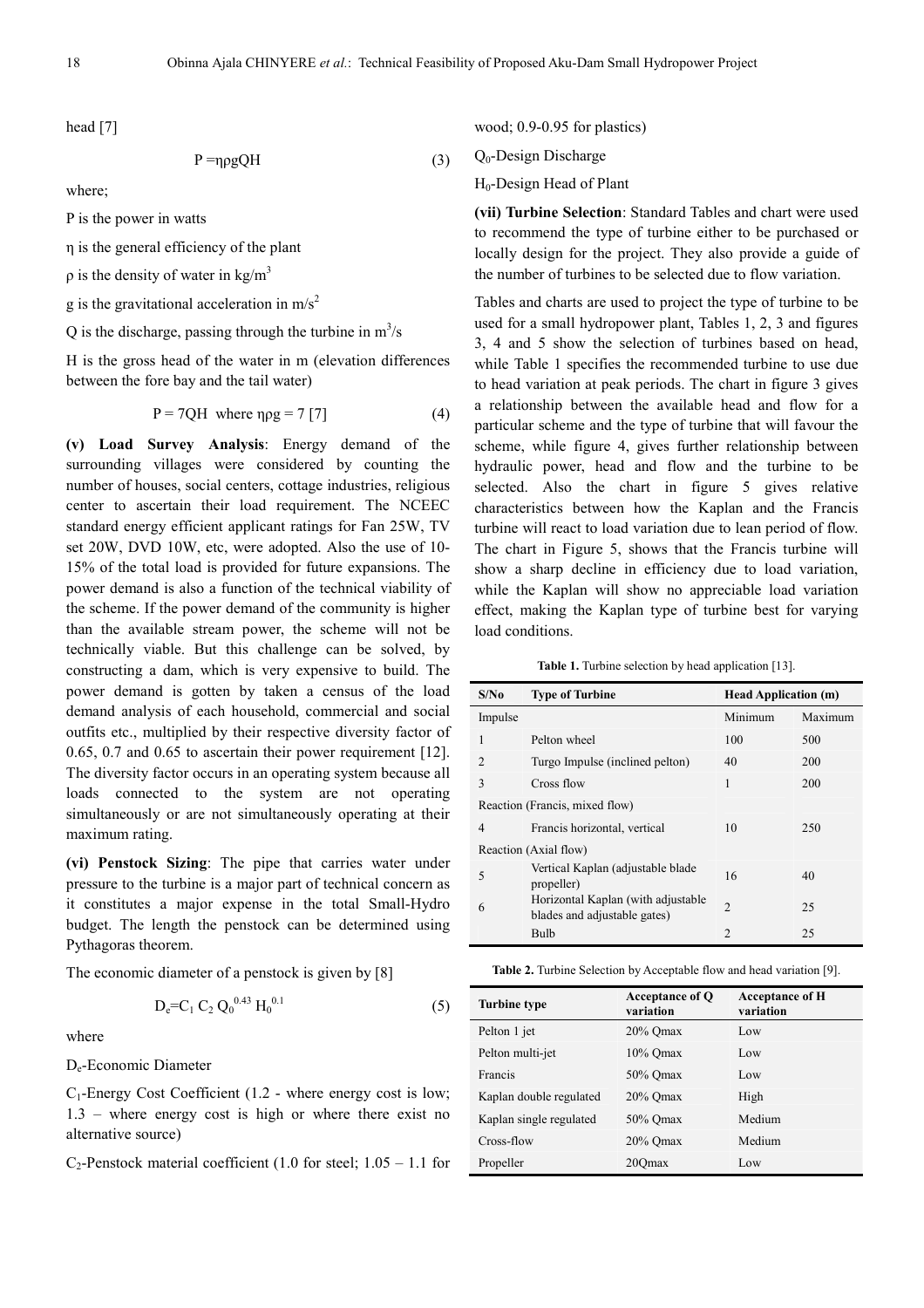head [7]

$$
P = \eta \rho g Q H \tag{3}
$$

where;

P is the power in watts

η is the general efficiency of the plant

 $ρ$  is the density of water in kg/m<sup>3</sup>

g is the gravitational acceleration in  $m/s^2$ 

Q is the discharge, passing through the turbine in  $m^3/s$ 

H is the gross head of the water in m (elevation differences between the fore bay and the tail water)

$$
P = 7QH \text{ where } \eta \rho g = 7 \, [7] \tag{4}
$$

**(v) Load Survey Analysis**: Energy demand of the surrounding villages were considered by counting the number of houses, social centers, cottage industries, religious center to ascertain their load requirement. The NCEEC standard energy efficient applicant ratings for Fan 25W, TV set 20W, DVD 10W, etc, were adopted. Also the use of 10- 15% of the total load is provided for future expansions. The power demand is also a function of the technical viability of the scheme. If the power demand of the community is higher than the available stream power, the scheme will not be technically viable. But this challenge can be solved, by constructing a dam, which is very expensive to build. The power demand is gotten by taken a census of the load demand analysis of each household, commercial and social outfits etc., multiplied by their respective diversity factor of 0.65, 0.7 and 0.65 to ascertain their power requirement [12]. The diversity factor occurs in an operating system because all loads connected to the system are not operating simultaneously or are not simultaneously operating at their maximum rating.

**(vi) Penstock Sizing**: The pipe that carries water under pressure to the turbine is a major part of technical concern as it constitutes a major expense in the total Small-Hydro budget. The length the penstock can be determined using Pythagoras theorem.

The economic diameter of a penstock is given by [8]

$$
D_e = C_1 C_2 Q_0^{0.43} H_0^{0.1}
$$
 (5)

where

De-Economic Diameter

 $C_1$ -Energy Cost Coefficient (1.2 - where energy cost is low; 1.3 – where energy cost is high or where there exist no alternative source)

 $C_2$ -Penstock material coefficient (1.0 for steel; 1.05 – 1.1 for

wood; 0.9-0.95 for plastics)

Q0-Design Discharge

H0-Design Head of Plant

**(vii) Turbine Selection**: Standard Tables and chart were used to recommend the type of turbine either to be purchased or locally design for the project. They also provide a guide of the number of turbines to be selected due to flow variation.

Tables and charts are used to project the type of turbine to be used for a small hydropower plant, Tables 1, 2, 3 and figures 3, 4 and 5 show the selection of turbines based on head, while Table 1 specifies the recommended turbine to use due to head variation at peak periods. The chart in figure 3 gives a relationship between the available head and flow for a particular scheme and the type of turbine that will favour the scheme, while figure 4, gives further relationship between hydraulic power, head and flow and the turbine to be selected. Also the chart in figure 5 gives relative characteristics between how the Kaplan and the Francis turbine will react to load variation due to lean period of flow. The chart in Figure 5, shows that the Francis turbine will show a sharp decline in efficiency due to load variation, while the Kaplan will show no appreciable load variation effect, making the Kaplan type of turbine best for varying load conditions.

Table 1. Turbine selection by head application [13].

| S/No           | <b>Type of Turbine</b>                                             | <b>Head Application (m)</b> |         |  |  |
|----------------|--------------------------------------------------------------------|-----------------------------|---------|--|--|
| Impulse        |                                                                    | Minimum                     | Maximum |  |  |
| 1              | Pelton wheel                                                       | 100                         | 500     |  |  |
| $\overline{2}$ | Turgo Impulse (inclined pelton)                                    | 40                          | 200     |  |  |
| 3              | Cross flow                                                         | 1                           | 200     |  |  |
|                | Reaction (Francis, mixed flow)                                     |                             |         |  |  |
| 4              | Francis horizontal, vertical                                       | 10                          | 250     |  |  |
|                | Reaction (Axial flow)                                              |                             |         |  |  |
| 5              | Vertical Kaplan (adjustable blade<br>propeller)                    | 16                          | 40      |  |  |
| 6              | Horizontal Kaplan (with adjustable<br>blades and adjustable gates) | $\mathfrak{D}$              | 25      |  |  |
|                | Bulb                                                               | $\mathfrak{D}$              | 25      |  |  |

|  | <b>Table 2.</b> Turbine Selection by Acceptable flow and head variation [9]. |  |  |  |
|--|------------------------------------------------------------------------------|--|--|--|
|--|------------------------------------------------------------------------------|--|--|--|

| <b>Turbine type</b>     | Acceptance of Q<br>variation | <b>Acceptance of H</b><br>variation |
|-------------------------|------------------------------|-------------------------------------|
| Pelton 1 jet            | $20\%$ Omax                  | Low                                 |
| Pelton multi-jet        | $10\%$ Omax                  | Low                                 |
| Francis                 | 50% Omax                     | Low                                 |
| Kaplan double regulated | $20\%$ Omax                  | High                                |
| Kaplan single regulated | 50% Omax                     | Medium                              |
| Cross-flow              | $20\%$ Omax                  | Medium                              |
| Propeller               | 200 <sub>max</sub>           | Low                                 |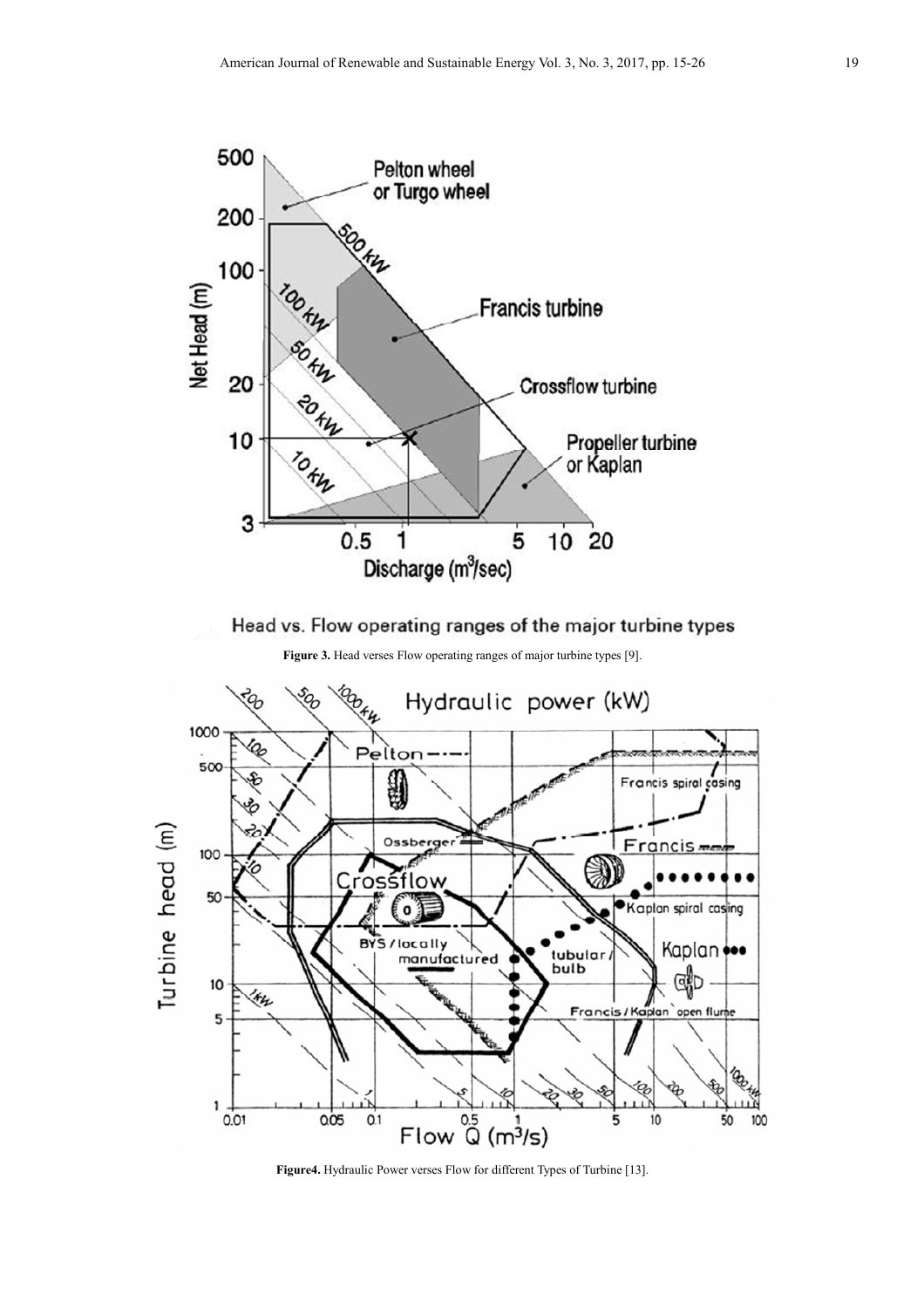

Head vs. Flow operating ranges of the major turbine types





**Figure4.** Hydraulic Power verses Flow for different Types of Turbine [13].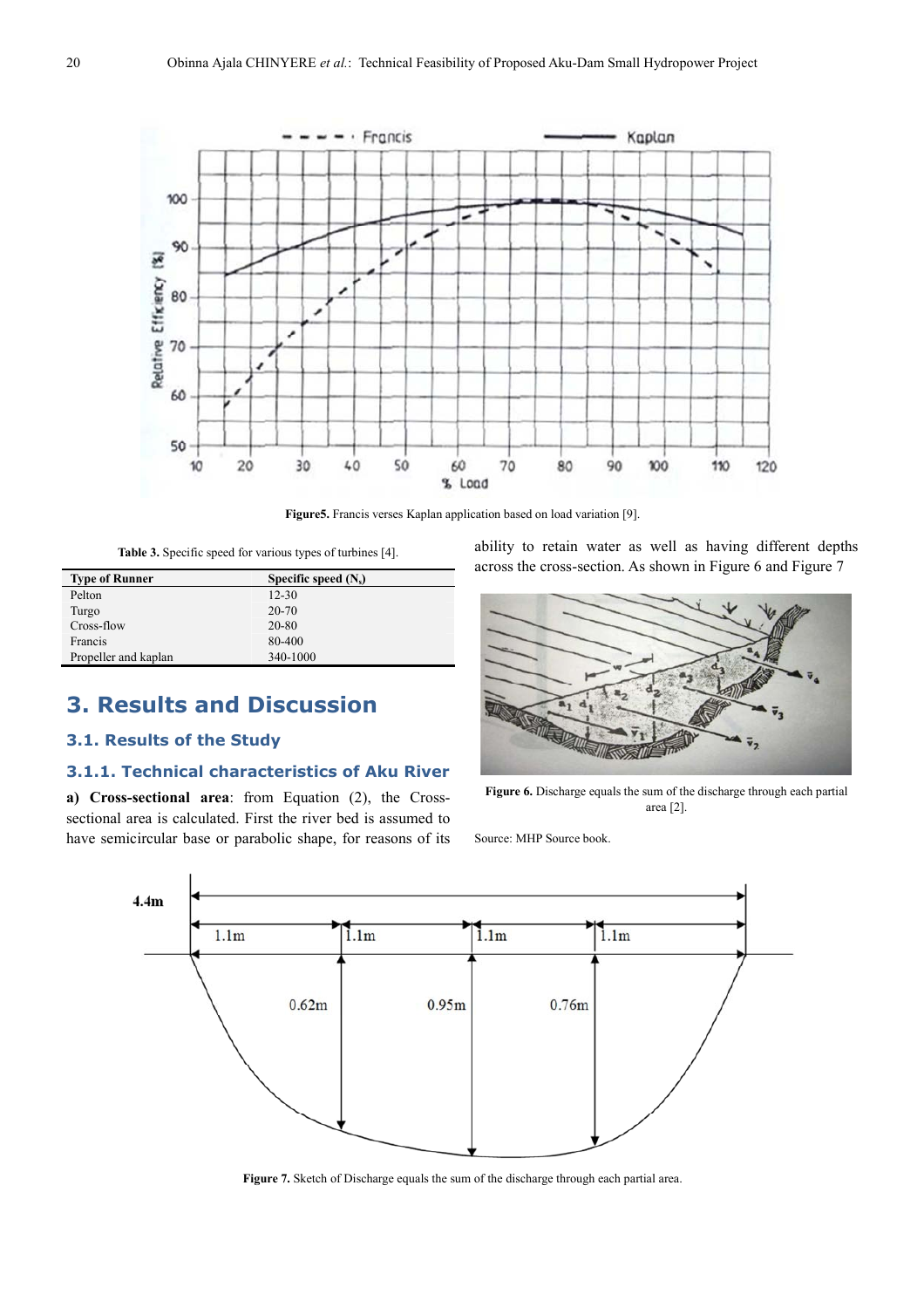

**Figure5.** Francis verses Kaplan application based on load variation [9].

**Table 3.** Specific speed for various types of turbines [4].

| Specific speed $(N_s)$ |
|------------------------|
| $12 - 30$              |
| 20-70                  |
| 20-80                  |
| 80-400                 |
| 340-1000               |
|                        |

# **3. Results and Discussion**

### **3.1. Results of the Study**

### **3.1.1. Technical characteristics of Aku River**

**a) Cross-sectional area**: from Equation (2), the Crosssectional area is calculated. First the river bed is assumed to have semicircular base or parabolic shape, for reasons of its ability to retain water as well as having different depths across the cross-section. As shown in Figure 6 and Figure 7



Figure 6. Discharge equals the sum of the discharge through each partial area [2].

Source: MHP Source book.



**Figure 7.** Sketch of Discharge equals the sum of the discharge through each partial area.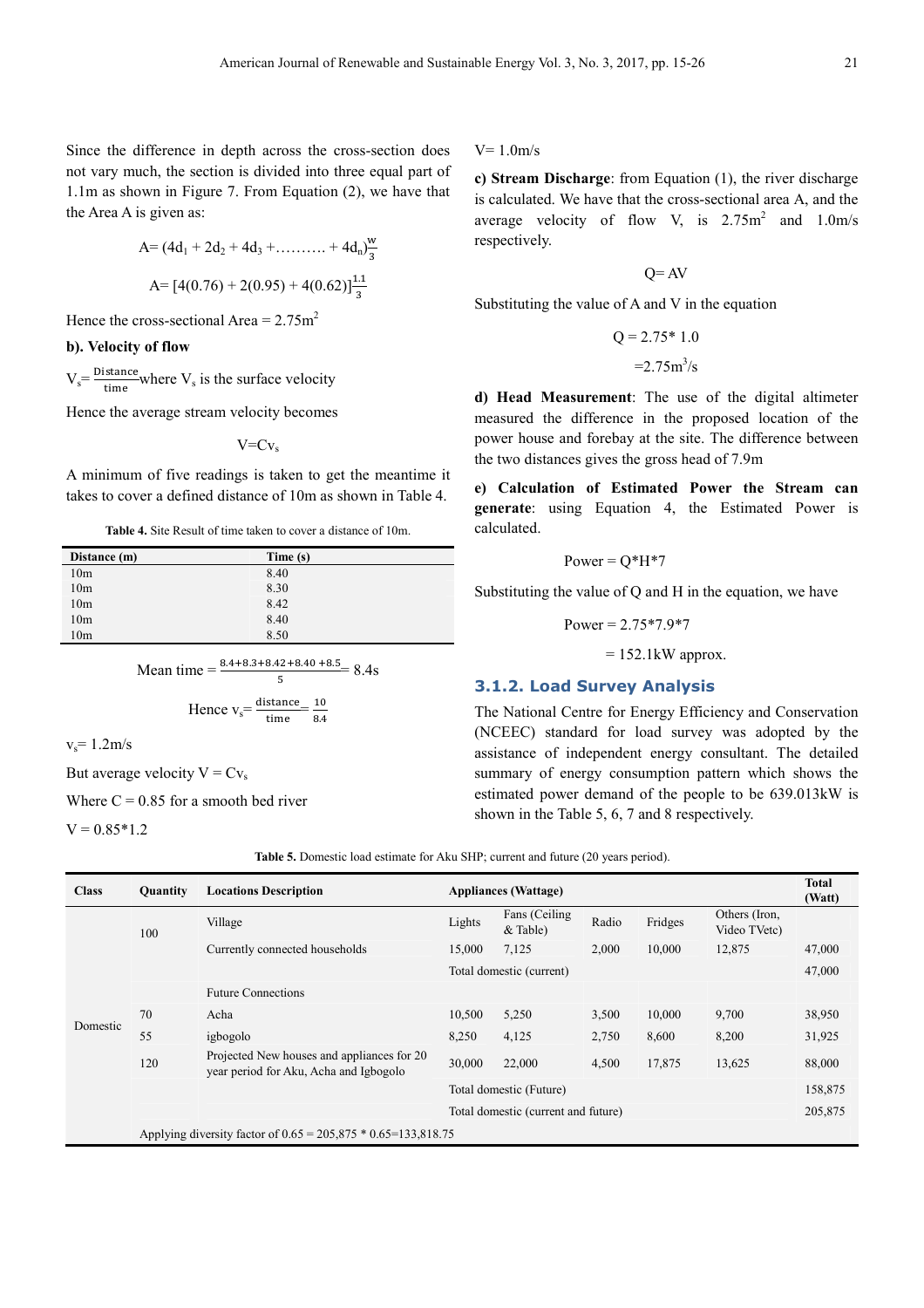Since the difference in depth across the cross-section does not vary much, the section is divided into three equal part of 1.1m as shown in Figure 7. From Equation (2), we have that the Area A is given as:

A= 
$$
(4d_1 + 2d_2 + 4d_3 + \dots + 4d_n)\frac{w}{3}
$$
  
A=  $[4(0.76) + 2(0.95) + 4(0.62)]\frac{1.1}{3}$ 

Hence the cross-sectional Area =  $2.75$ m<sup>2</sup>

#### **b). Velocity of flow**

 $V_s = \frac{\text{Distance}}{\text{time}}$  $\frac{\text{same}}{\text{time}}$  where  $V_s$  is the surface velocity

Hence the average stream velocity becomes

 $V = CV_s$ 

A minimum of five readings is taken to get the meantime it takes to cover a defined distance of 10m as shown in Table 4.

**Table 4.** Site Result of time taken to cover a distance of 10m.

| Distance (m)    | Time (s) |
|-----------------|----------|
| 10 <sub>m</sub> | 8.40     |
| 10 <sub>m</sub> | 8.30     |
| 10 <sub>m</sub> | 8.42     |
| 10 <sub>m</sub> | 8.40     |
| 10 <sub>m</sub> | 8.50     |

Mean time = 
$$
\frac{8.4 + 8.3 + 8.42 + 8.40 + 8.5}{5} = 8.4s
$$
  
Hence v<sub>s</sub> = 
$$
\frac{\text{distance}}{\text{time}} = \frac{10}{8.4}
$$

 $v_s = 1.2 \text{m/s}$ 

But average velocity  $V = Cv_s$ 

Where  $C = 0.85$  for a smooth bed river

 $V = 0.85*1.2$ 

#### $V= 1.0$ m/s

**c) Stream Discharge**: from Equation (1), the river discharge is calculated. We have that the cross-sectional area A, and the average velocity of flow V, is  $2.75 \text{ m}^2$  and  $1.0 \text{ m/s}$ respectively.

 $Q = AV$ 

Substituting the value of A and V in the equation

$$
Q = 2.75 \times 1.0
$$

$$
= 2.75 \text{m}^3/\text{s}
$$

**d) Head Measurement**: The use of the digital altimeter measured the difference in the proposed location of the power house and forebay at the site. The difference between the two distances gives the gross head of 7.9m

**e) Calculation of Estimated Power the Stream can generate**: using Equation 4, the Estimated Power is calculated.

$$
Power = Q*H*7
$$

Substituting the value of Q and H in the equation, we have

Power = 
$$
2.75*7.9*7
$$

 $= 152.1$ kW approx.

#### **3.1.2. Load Survey Analysis**

The National Centre for Energy Efficiency and Conservation (NCEEC) standard for load survey was adopted by the assistance of independent energy consultant. The detailed summary of energy consumption pattern which shows the estimated power demand of the people to be 639.013kW is shown in the Table 5, 6, 7 and 8 respectively.

**Table 5.** Domestic load estimate for Aku SHP; current and future (20 years period).

| <b>Class</b> | <b>Quantity</b>                                                   | <b>Locations Description</b>                                                         |                                     | <b>Appliances (Wattage)</b> |       |         |                               | <b>Total</b><br>(Watt) |  |
|--------------|-------------------------------------------------------------------|--------------------------------------------------------------------------------------|-------------------------------------|-----------------------------|-------|---------|-------------------------------|------------------------|--|
|              | 100                                                               | Village                                                                              | Lights                              | Fans (Ceiling<br>$&$ Table) | Radio | Fridges | Others (Iron,<br>Video TVetc) |                        |  |
|              |                                                                   | Currently connected households                                                       | 15,000                              | 7,125                       | 2,000 | 10,000  | 12,875                        | 47,000                 |  |
| Domestic     |                                                                   |                                                                                      |                                     | Total domestic (current)    |       |         |                               |                        |  |
|              |                                                                   | <b>Future Connections</b>                                                            |                                     |                             |       |         |                               |                        |  |
|              | 70                                                                | Acha                                                                                 | 10,500                              | 5,250                       | 3,500 | 10,000  | 9,700                         | 38,950                 |  |
|              | 55                                                                | igbogolo                                                                             | 8,250                               | 4,125                       | 2,750 | 8,600   | 8,200                         | 31,925                 |  |
|              | 120                                                               | Projected New houses and appliances for 20<br>year period for Aku, Acha and Igbogolo | 30,000                              | 22,000                      | 4,500 | 17,875  | 13,625                        | 88,000                 |  |
|              |                                                                   |                                                                                      | Total domestic (Future)             |                             |       |         |                               | 158,875                |  |
|              |                                                                   |                                                                                      | Total domestic (current and future) |                             |       |         |                               | 205,875                |  |
|              | Applying diversity factor of $0.65 = 205,875 * 0.65 = 133,818.75$ |                                                                                      |                                     |                             |       |         |                               |                        |  |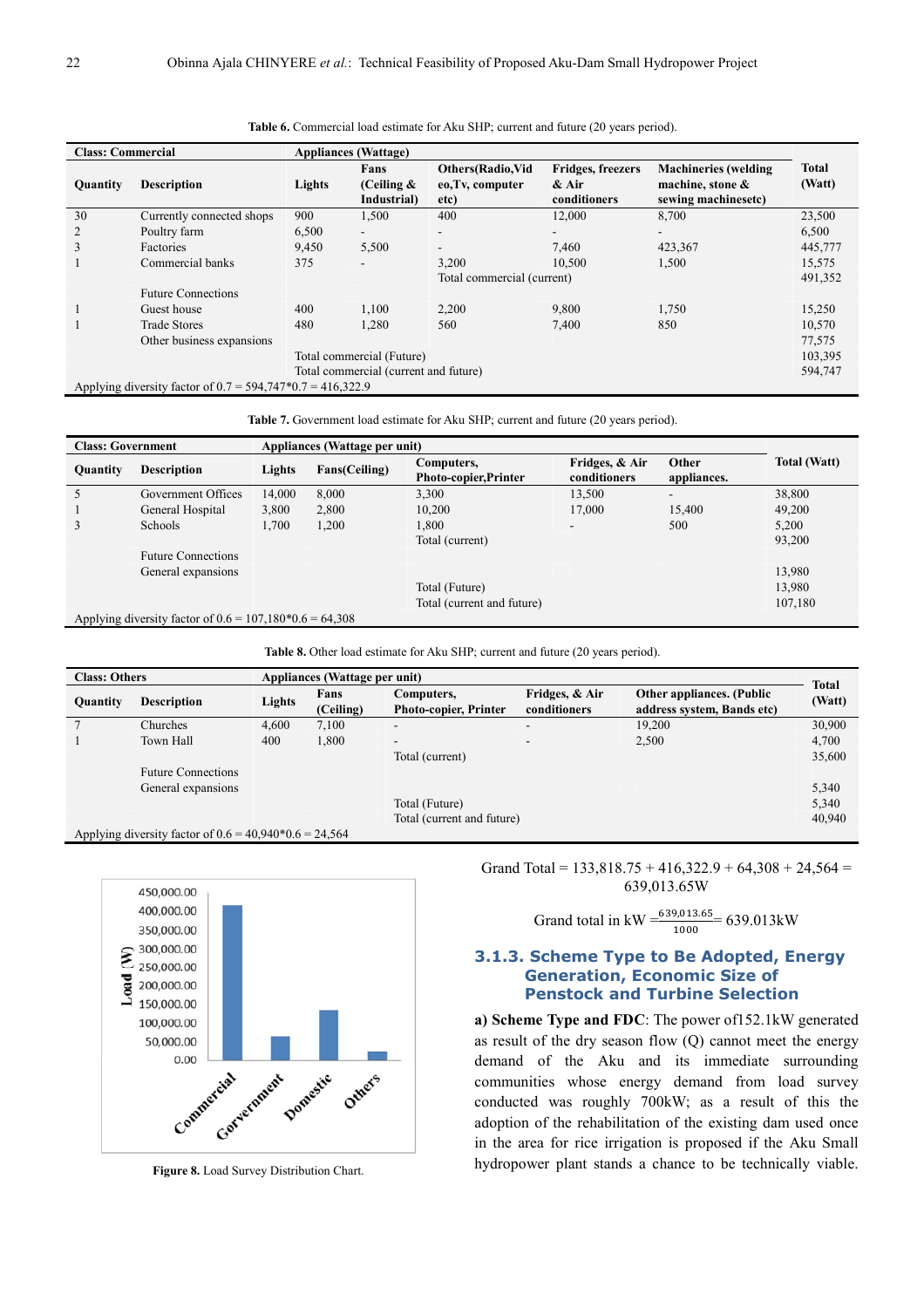| <b>Class: Commercial</b> |                                                              | <b>Appliances (Wattage)</b> |                                      |                                                      |                                                     |                                                                           |                        |
|--------------------------|--------------------------------------------------------------|-----------------------------|--------------------------------------|------------------------------------------------------|-----------------------------------------------------|---------------------------------------------------------------------------|------------------------|
| Quantity                 | <b>Description</b>                                           | Lights                      | Fans<br>(Ceiling $\&$<br>Industrial) | <b>Others</b> (Radio,Vid<br>eo, Tv, computer<br>etc) | <b>Fridges, freezers</b><br>$&$ Air<br>conditioners | <b>Machineries</b> (welding<br>machine, stone $\&$<br>sewing machinesetc) | <b>Total</b><br>(Watt) |
| 30                       | Currently connected shops                                    | 900                         | 1,500                                | 400                                                  | 12,000                                              | 8,700                                                                     | 23,500                 |
| 2                        | Poultry farm                                                 | 6,500                       | $\overline{\phantom{0}}$             | $\overline{\phantom{a}}$                             |                                                     | $\overline{\phantom{a}}$                                                  | 6,500                  |
| 3                        | Factories                                                    | 9,450                       | 5,500                                | $\overline{\phantom{a}}$                             | 7,460                                               | 423,367                                                                   | 445,777                |
|                          | Commercial banks                                             | 375                         | -                                    | 3,200                                                | 10.500                                              | 1,500                                                                     | 15,575                 |
|                          |                                                              |                             | Total commercial (current)           |                                                      |                                                     |                                                                           | 491,352                |
|                          | <b>Future Connections</b>                                    |                             |                                      |                                                      |                                                     |                                                                           |                        |
|                          | Guest house                                                  | 400                         | 1,100                                | 2,200                                                | 9,800                                               | 1,750                                                                     | 15,250                 |
|                          | <b>Trade Stores</b>                                          | 480                         | 1,280                                | 560                                                  | 7,400                                               | 850                                                                       | 10,570                 |
|                          | Other business expansions                                    |                             |                                      |                                                      |                                                     |                                                                           | 77,575                 |
|                          |                                                              | Total commercial (Future)   |                                      |                                                      |                                                     |                                                                           |                        |
|                          | Total commercial (current and future)                        |                             |                                      |                                                      |                                                     |                                                                           | 594,747                |
|                          | Applying diversity factor of $0.7 = 594,747*0.7 = 416,322.9$ |                             |                                      |                                                      |                                                     |                                                                           |                        |

Table 6. Commercial load estimate for Aku SHP; current and future (20 years period).

Table 7. Government load estimate for Aku SHP; current and future (20 years period).

| <b>Class: Government</b> |                                                           | Appliances (Wattage per unit) |               |                              |                                |             |                     |  |  |
|--------------------------|-----------------------------------------------------------|-------------------------------|---------------|------------------------------|--------------------------------|-------------|---------------------|--|--|
| <b>Quantity</b>          | <b>Description</b>                                        | Lights                        | Fans(Ceiling) | Computers,                   | Fridges, & Air<br>conditioners | Other       | <b>Total (Watt)</b> |  |  |
|                          |                                                           |                               |               | <b>Photo-copier, Printer</b> |                                | appliances. |                     |  |  |
|                          | Government Offices                                        | 14,000                        | 8,000         | 3,300                        | 13,500                         |             | 38,800              |  |  |
|                          | General Hospital                                          | 3,800                         | 2,800         | 10,200                       | 17,000                         | 15,400      | 49.200              |  |  |
|                          | Schools                                                   | 1,700                         | 1,200         | 1,800                        | ۰.                             | 500         | 5,200               |  |  |
|                          |                                                           |                               |               | Total (current)              |                                |             | 93,200              |  |  |
|                          | <b>Future Connections</b>                                 |                               |               |                              |                                |             |                     |  |  |
|                          | General expansions                                        |                               |               |                              |                                |             | 13,980              |  |  |
|                          |                                                           |                               |               | Total (Future)               |                                |             | 13,980              |  |  |
|                          |                                                           |                               |               | Total (current and future)   |                                |             | 107,180             |  |  |
|                          | Applying diversity factor of $0.6 = 107,180*0.6 = 64,308$ |                               |               |                              |                                |             |                     |  |  |

Table 8. Other load estimate for Aku SHP; current and future (20 years period).

| <b>Class: Others</b> |                                                          | Appliances (Wattage per unit) |                   |                                            |                                |                                                         | Total  |  |  |
|----------------------|----------------------------------------------------------|-------------------------------|-------------------|--------------------------------------------|--------------------------------|---------------------------------------------------------|--------|--|--|
| <b>Quantity</b>      | <b>Description</b>                                       | Lights                        | Fans<br>(Ceiling) | Computers,<br><b>Photo-copier, Printer</b> | Fridges, & Air<br>conditioners | Other appliances. (Public<br>address system, Bands etc) | (Watt) |  |  |
|                      | Churches                                                 | 4.600                         | 7,100             |                                            | $\overline{\phantom{0}}$       | 19.200                                                  | 30,900 |  |  |
|                      | Town Hall                                                | 400                           | 1,800             | -                                          |                                | 2,500                                                   | 4,700  |  |  |
|                      |                                                          |                               |                   | Total (current)                            |                                |                                                         | 35,600 |  |  |
|                      | <b>Future Connections</b>                                |                               |                   |                                            |                                |                                                         |        |  |  |
|                      | General expansions                                       |                               |                   |                                            |                                |                                                         | 5,340  |  |  |
|                      |                                                          |                               |                   | Total (Future)                             |                                |                                                         | 5,340  |  |  |
|                      |                                                          |                               |                   | Total (current and future)                 |                                |                                                         | 40,940 |  |  |
|                      | Applying diversity factor of $0.6 = 40.940*0.6 = 24.564$ |                               |                   |                                            |                                |                                                         |        |  |  |



Grand Total =  $133,818.75 + 416,322.9 + 64,308 + 24,564 =$ 639,013.65W

Grand total in kW = 
$$
\frac{639,013.65}{1000} = 639.013 \text{kW}
$$

#### **3.1.3. Scheme Type to Be Adopted, Energy Generation, Economic Size of Penstock and Turbine Selection**

**a) Scheme Type and FDC**: The power of152.1kW generated as result of the dry season flow (Q) cannot meet the energy demand of the Aku and its immediate surrounding communities whose energy demand from load survey conducted was roughly 700kW; as a result of this the adoption of the rehabilitation of the existing dam used once in the area for rice irrigation is proposed if the Aku Small hydropower plant stands a chance to be technically viable.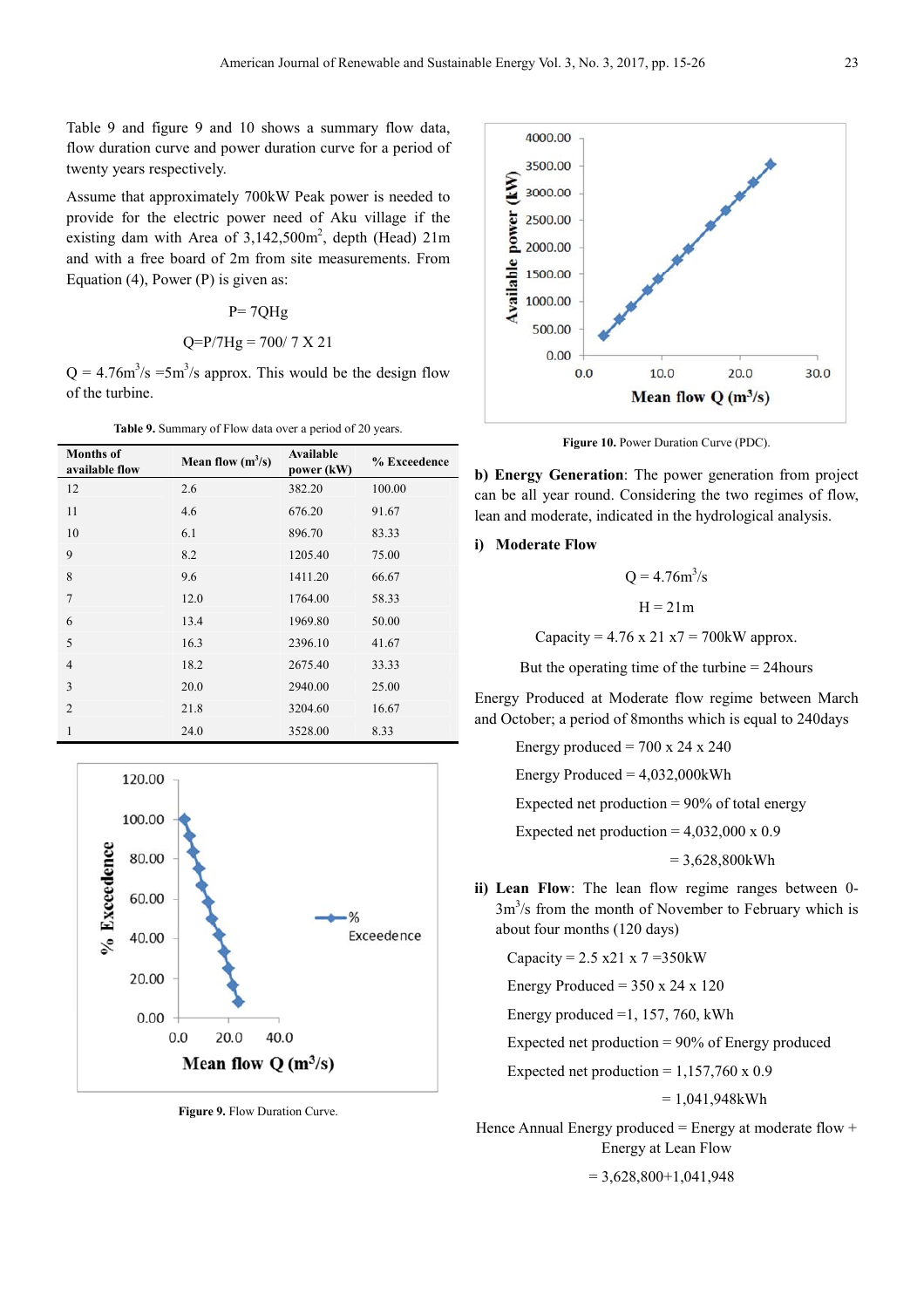Table 9 and figure 9 and 10 shows a summary flow data, flow duration curve and power duration curve for a period of twenty years respectively.

Assume that approximately 700kW Peak power is needed to provide for the electric power need of Aku village if the existing dam with Area of  $3,142,500$ m<sup>2</sup>, depth (Head)  $21$ m and with a free board of 2m from site measurements. From Equation (4), Power  $(P)$  is given as:

#### $P = 7QHg$

### $Q = P/7$ Hg = 700/ 7 X 21

 $Q = 4.76 \text{m}^3/\text{s} = 5 \text{m}^3/\text{s}$  approx. This would be the design flow of the turbine.

**Table 9.** Summary of Flow data over a period of 20 years.

| <b>Months</b> of<br>available flow | Mean flow $(m^3/s)$ | Available<br>power (kW) | % Exceedence |
|------------------------------------|---------------------|-------------------------|--------------|
| 12                                 | 2.6                 | 382.20                  | 100.00       |
| 11                                 | 4.6                 | 676.20                  | 91.67        |
| 10                                 | 6.1                 | 896.70                  | 83.33        |
| 9                                  | 8.2                 | 1205.40                 | 75.00        |
| 8                                  | 9.6                 | 1411.20                 | 66.67        |
| $\overline{7}$                     | 12.0                | 1764.00                 | 58.33        |
| 6                                  | 13.4                | 1969.80                 | 50.00        |
| 5                                  | 16.3                | 2396.10                 | 41.67        |
| 4                                  | 18.2                | 2675.40                 | 33.33        |
| 3                                  | 20.0                | 2940.00                 | 25.00        |
| $\overline{2}$                     | 21.8                | 3204.60                 | 16.67        |
| 1                                  | 24.0                | 3528.00                 | 8.33         |



**Figure 9.** Flow Duration Curve.



Figure 10. Power Duration Curve (PDC).

**b) Energy Generation**: The power generation from project can be all year round. Considering the two regimes of flow, lean and moderate, indicated in the hydrological analysis.

#### **i) Moderate Flow**

 $Q = 4.76m^3/s$  $H = 21m$ Capacity =  $4.76 \times 21 \times 7 = 700$ kW approx.

But the operating time of the turbine = 24hours

Energy Produced at Moderate flow regime between March and October; a period of 8months which is equal to 240days

Energy produced  $= 700 \times 24 \times 240$ 

Energy Produced  $= 4.032,000$ kWh

Expected net production  $= 90\%$  of total energy

Expected net production =  $4,032,000 \times 0.9$ 

 $= 3.628,800$  kWh

**ii) Lean Flow**: The lean flow regime ranges between 0-  $3m<sup>3</sup>/s$  from the month of November to February which is about four months (120 days)

Capacity = 
$$
2.5 \times 21 \times 7 = 350
$$
kW

Energy Produced =  $350 \times 24 \times 120$ 

Energy produced  $=1, 157, 760,$  kWh

Expected net production = 90% of Energy produced

Expected net production =  $1,157,760 \times 0.9$ 

 $= 1,041,948kWh$ 

Hence Annual Energy produced = Energy at moderate flow + Energy at Lean Flow

 $= 3,628,800+1,041,948$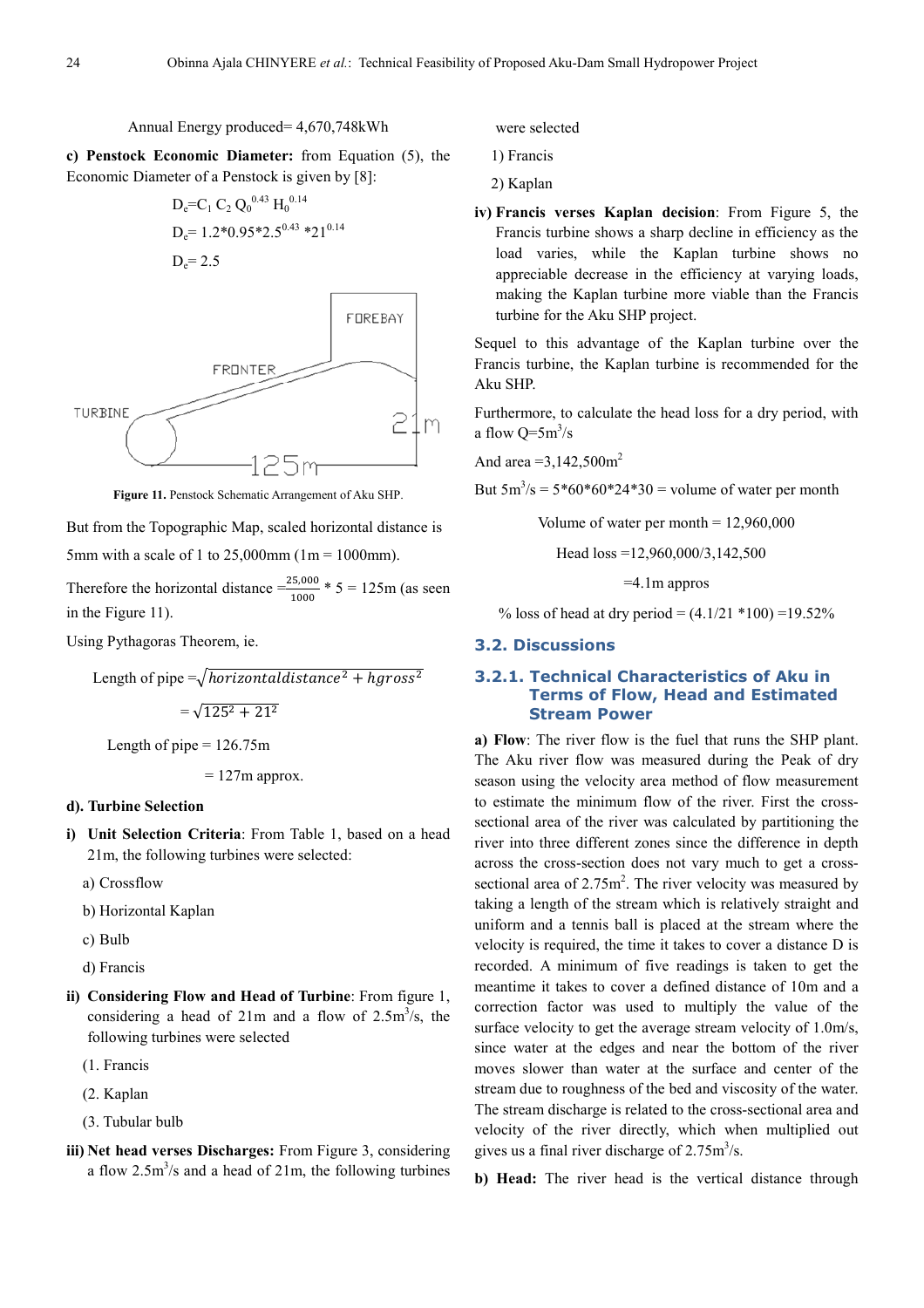Annual Energy produced= 4,670,748kWh

**c) Penstock Economic Diameter:** from Equation (5), the Economic Diameter of a Penstock is given by [8]:

$$
D_e = C_1 C_2 Q_0^{0.43} H_0^{0.14}
$$
  
\n
$$
D_e = 1.2*0.95*2.5^{0.43} *21^{0.14}
$$
  
\n
$$
D_e = 2.5
$$



**Figure 11.** Penstock Schematic Arrangement of Aku SHP.

But from the Topographic Map, scaled horizontal distance is

5mm with a scale of 1 to 25,000mm  $(1m = 1000$ mm).

Therefore the horizontal distance  $\frac{25,000}{1000}$  \* 5 = 125m (as seen in the Figure 11).

Using Pythagoras Theorem, ie.

Length of pipe  $=\sqrt{horizontal distance^2 + hgross^2}$  $=\sqrt{125^2 + 21^2}$ Length of pipe  $= 126.75$ m  $= 127$ m approx.

#### **d). Turbine Selection**

- **i) Unit Selection Criteria**: From Table 1, based on a head 21m, the following turbines were selected:
	- a) Crossflow
	- b) Horizontal Kaplan
	- c) Bulb
	- d) Francis
- **ii) Considering Flow and Head of Turbine**: From figure 1, considering a head of  $21m$  and a flow of  $2.5m<sup>3</sup>/s$ , the following turbines were selected
	- (1. Francis
	- (2. Kaplan
	- (3. Tubular bulb
- **iii) Net head verses Discharges:** From Figure 3, considering a flow  $2.5 \text{m}^3/\text{s}$  and a head of  $21 \text{m}$ , the following turbines

were selected

1) Francis

2) Kaplan

**iv) Francis verses Kaplan decision**: From Figure 5, the Francis turbine shows a sharp decline in efficiency as the load varies, while the Kaplan turbine shows no appreciable decrease in the efficiency at varying loads, making the Kaplan turbine more viable than the Francis turbine for the Aku SHP project.

Sequel to this advantage of the Kaplan turbine over the Francis turbine, the Kaplan turbine is recommended for the Aku SHP.

Furthermore, to calculate the head loss for a dry period, with a flow  $Q=5m^3/s$ 

And area  $=3,142,500$ m<sup>2</sup>

But  $5m^3/s = 5*60*60*24*30 =$  volume of water per month

Volume of water per month  $= 12.960,000$ 

Head loss =12,960,000/3,142,500

=4.1m appros

% loss of head at dry period =  $(4.1/21 *100) = 19.52\%$ 

#### **3.2. Discussions**

#### **3.2.1. Technical Characteristics of Aku in Terms of Flow, Head and Estimated Stream Power**

**a) Flow**: The river flow is the fuel that runs the SHP plant. The Aku river flow was measured during the Peak of dry season using the velocity area method of flow measurement to estimate the minimum flow of the river. First the crosssectional area of the river was calculated by partitioning the river into three different zones since the difference in depth across the cross-section does not vary much to get a crosssectional area of  $2.75m^2$ . The river velocity was measured by taking a length of the stream which is relatively straight and uniform and a tennis ball is placed at the stream where the velocity is required, the time it takes to cover a distance D is recorded. A minimum of five readings is taken to get the meantime it takes to cover a defined distance of 10m and a correction factor was used to multiply the value of the surface velocity to get the average stream velocity of 1.0m/s, since water at the edges and near the bottom of the river moves slower than water at the surface and center of the stream due to roughness of the bed and viscosity of the water. The stream discharge is related to the cross-sectional area and velocity of the river directly, which when multiplied out gives us a final river discharge of  $2.75 \text{m}^3/\text{s}$ .

**b) Head:** The river head is the vertical distance through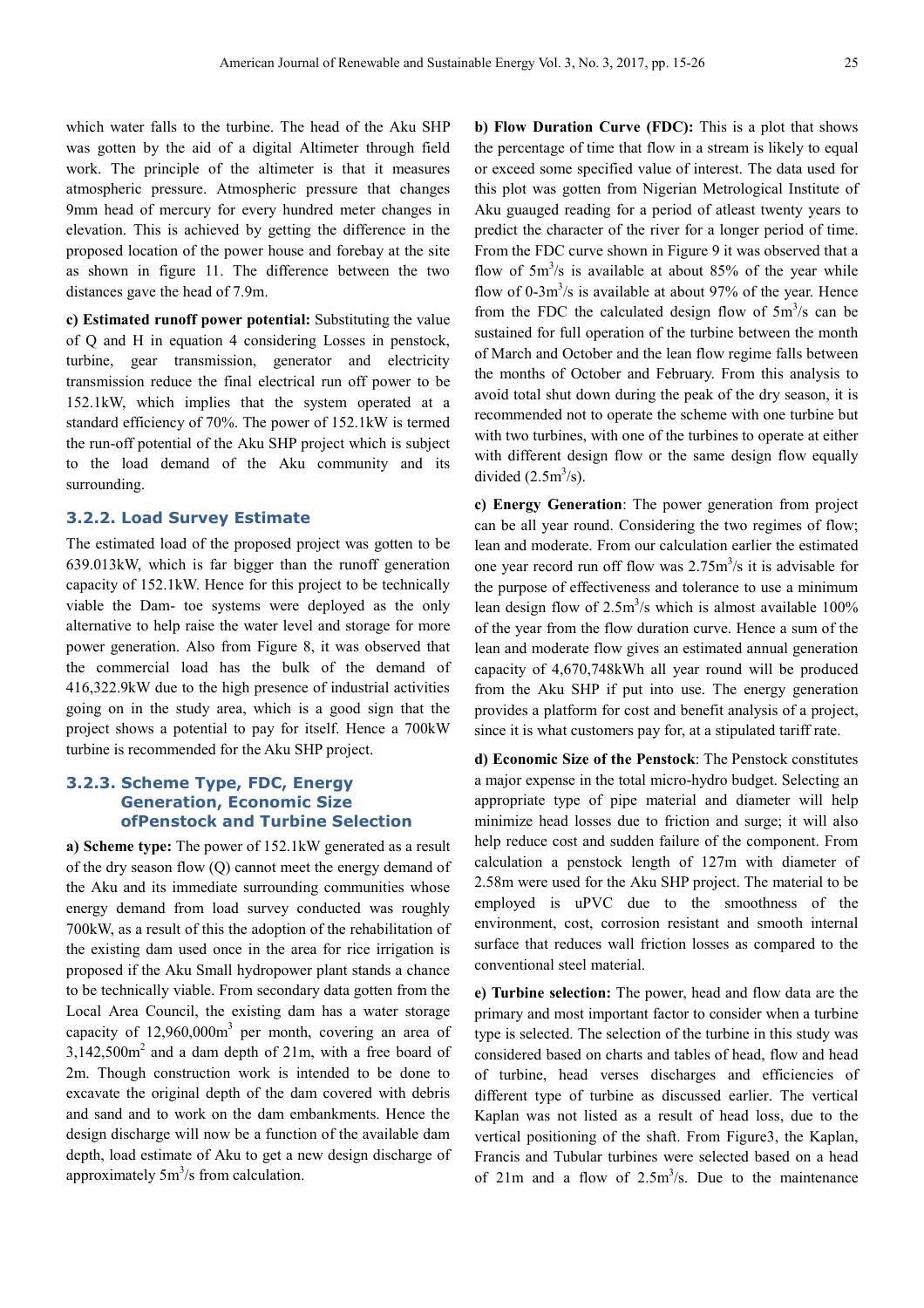which water falls to the turbine. The head of the Aku SHP was gotten by the aid of a digital Altimeter through field work. The principle of the altimeter is that it measures atmospheric pressure. Atmospheric pressure that changes 9mm head of mercury for every hundred meter changes in elevation. This is achieved by getting the difference in the proposed location of the power house and forebay at the site as shown in figure 11. The difference between the two distances gave the head of 7.9m.

**c) Estimated runoff power potential:** Substituting the value of Q and H in equation 4 considering Losses in penstock, turbine, gear transmission, generator and electricity transmission reduce the final electrical run off power to be 152.1kW, which implies that the system operated at a standard efficiency of 70%. The power of 152.1kW is termed the run-off potential of the Aku SHP project which is subject to the load demand of the Aku community and its surrounding.

#### **3.2.2. Load Survey Estimate**

The estimated load of the proposed project was gotten to be 639.013kW, which is far bigger than the runoff generation capacity of 152.1kW. Hence for this project to be technically viable the Dam- toe systems were deployed as the only alternative to help raise the water level and storage for more power generation. Also from Figure 8, it was observed that the commercial load has the bulk of the demand of 416,322.9kW due to the high presence of industrial activities going on in the study area, which is a good sign that the project shows a potential to pay for itself. Hence a 700kW turbine is recommended for the Aku SHP project.

### **3.2.3. Scheme Type, FDC, Energy Generation, Economic Size ofPenstock and Turbine Selection**

**a) Scheme type:** The power of 152.1kW generated as a result of the dry season flow (Q) cannot meet the energy demand of the Aku and its immediate surrounding communities whose energy demand from load survey conducted was roughly 700kW, as a result of this the adoption of the rehabilitation of the existing dam used once in the area for rice irrigation is proposed if the Aku Small hydropower plant stands a chance to be technically viable. From secondary data gotten from the Local Area Council, the existing dam has a water storage capacity of  $12,960,000$ m<sup>3</sup> per month, covering an area of  $3,142,500$ m<sup>2</sup> and a dam depth of 21m, with a free board of 2m. Though construction work is intended to be done to excavate the original depth of the dam covered with debris and sand and to work on the dam embankments. Hence the design discharge will now be a function of the available dam depth, load estimate of Aku to get a new design discharge of approximately  $5m^3/s$  from calculation.

**b) Flow Duration Curve (FDC):** This is a plot that shows the percentage of time that flow in a stream is likely to equal or exceed some specified value of interest. The data used for this plot was gotten from Nigerian Metrological Institute of Aku guauged reading for a period of atleast twenty years to predict the character of the river for a longer period of time. From the FDC curve shown in Figure 9 it was observed that a flow of  $5m^3/s$  is available at about 85% of the year while flow of 0-3 $\text{m}^3$ /s is available at about 97% of the year. Hence from the FDC the calculated design flow of  $5m<sup>3</sup>/s$  can be sustained for full operation of the turbine between the month of March and October and the lean flow regime falls between the months of October and February. From this analysis to avoid total shut down during the peak of the dry season, it is recommended not to operate the scheme with one turbine but with two turbines, with one of the turbines to operate at either with different design flow or the same design flow equally divided  $(2.5 \text{m}^3/\text{s})$ .

**c) Energy Generation**: The power generation from project can be all year round. Considering the two regimes of flow; lean and moderate. From our calculation earlier the estimated one year record run off flow was  $2.75 \text{m}^3/\text{s}$  it is advisable for the purpose of effectiveness and tolerance to use a minimum lean design flow of  $2.5m<sup>3</sup>/s$  which is almost available 100% of the year from the flow duration curve. Hence a sum of the lean and moderate flow gives an estimated annual generation capacity of 4,670,748kWh all year round will be produced from the Aku SHP if put into use. The energy generation provides a platform for cost and benefit analysis of a project, since it is what customers pay for, at a stipulated tariff rate.

**d) Economic Size of the Penstock**: The Penstock constitutes a major expense in the total micro-hydro budget. Selecting an appropriate type of pipe material and diameter will help minimize head losses due to friction and surge; it will also help reduce cost and sudden failure of the component. From calculation a penstock length of 127m with diameter of 2.58m were used for the Aku SHP project. The material to be employed is uPVC due to the smoothness of the environment, cost, corrosion resistant and smooth internal surface that reduces wall friction losses as compared to the conventional steel material.

**e) Turbine selection:** The power, head and flow data are the primary and most important factor to consider when a turbine type is selected. The selection of the turbine in this study was considered based on charts and tables of head, flow and head of turbine, head verses discharges and efficiencies of different type of turbine as discussed earlier. The vertical Kaplan was not listed as a result of head loss, due to the vertical positioning of the shaft. From Figure3, the Kaplan, Francis and Tubular turbines were selected based on a head of  $21m$  and a flow of  $2.5m<sup>3</sup>/s$ . Due to the maintenance